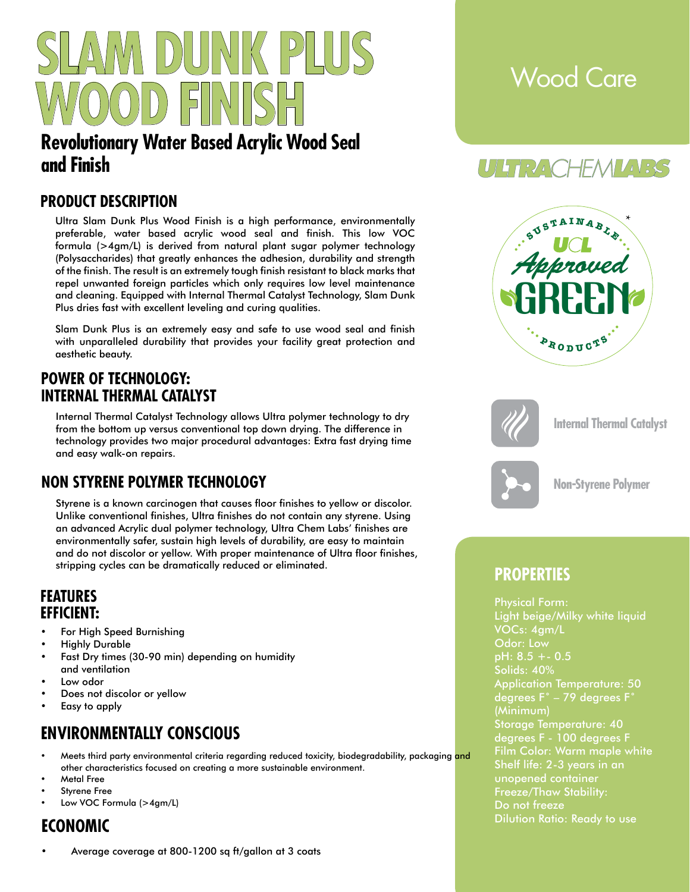

# **Revolutionary Water Based Acrylic Wood Seal and Finish**

### **PRODUCT DESCRIPTION**

Ultra Slam Dunk Plus Wood Finish is a high performance, environmentally preferable, water based acrylic wood seal and finish. This low VOC formula (>4gm/L) is derived from natural plant sugar polymer technology (Polysaccharides) that greatly enhances the adhesion, durability and strength of the finish. The result is an extremely tough finish resistant to black marks that repel unwanted foreign particles which only requires low level maintenance and cleaning. Equipped with Internal Thermal Catalyst Technology, Slam Dunk Plus dries fast with excellent leveling and curing qualities.

Slam Dunk Plus is an extremely easy and safe to use wood seal and finish with unparalleled durability that provides your facility great protection and aesthetic beauty.

### **POWER OF TECHNOLOGY: INTERNAL THERMAL CATALYST**

Internal Thermal Catalyst Technology allows Ultra polymer technology to dry from the bottom up versus conventional top down drying. The difference in technology provides two major procedural advantages: Extra fast drying time and easy walk-on repairs.

## **NON STYRENE POLYMER TECHNOLOGY**

Styrene is a known carcinogen that causes floor finishes to yellow or discolor. Unlike conventional finishes, Ultra finishes do not contain any styrene. Using an advanced Acrylic dual polymer technology, Ultra Chem Labs' finishes are environmentally safer, sustain high levels of durability, are easy to maintain and do not discolor or yellow. With proper maintenance of Ultra floor finishes, stripping cycles can be dramatically reduced or eliminated.

#### **FEATURES EFFICIENT:**

- For High Speed Burnishing
- **Highly Durable**
- Fast Dry times (30-90 min) depending on humidity and ventilation
- Low odor
- Does not discolor or yellow
- Easy to apply

## **ENVIRONMENTALLY CONSCIOUS**

- Meets third party environmental criteria regarding reduced toxicity, biodegradability, packaging and other characteristics focused on creating a more sustainable environment.
- Metal Free
- Styrene Free
- Low VOC Formula (>4gm/L)

# **ECONOMIC**

• Average coverage at 800-1200 sq ft/gallon at 3 coats

# Wood Care

# UTHRACHEMMARS





**Internal Thermal Catalyst**



**Non-Styrene Polymer**

## **PROPERTIES**

Physical Form: Light beige/Milky white liquid VOCs: 4gm/L Odor: Low pH: 8.5 +- 0.5 Solids: 40% Application Temperature: 50 degrees F˚ – 79 degrees F˚ (Minimum) Storage Temperature: 40 degrees F - 100 degrees F Film Color: Warm maple white Shelf life: 2-3 years in an unopened container Freeze/Thaw Stability: Do not freeze Dilution Ratio: Ready to use